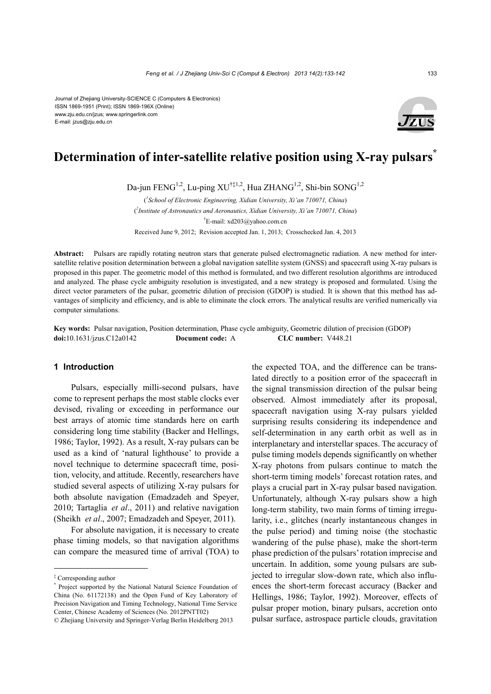Journal of Zhejiang University-SCIENCE C (Computers & Electronics) ISSN 1869-1951 (Print); ISSN 1869-196X (Online) www.zju.edu.cn/jzus; www.springerlink.com E-mail: jzus@zju.edu.cn



# **Determination of inter-satellite relative position using X-ray pulsars<sup>\*</sup>**

Da-jun FENG<sup>1,2</sup>, Lu-ping XU<sup>†‡1,2</sup>, Hua ZHANG<sup>1,2</sup>, Shi-bin SONG<sup>1,2</sup>

( *1 School of Electronic Engineering, Xidian University, Xi'an 710071, China*) ( *2 Institute of Astronautics and Aeronautics, Xidian University, Xi'an 710071, China*) † E-mail: xd203@yahoo.com.cn Received June 9, 2012; Revision accepted Jan. 1, 2013; Crosschecked Jan. 4, 2013

**Abstract:** Pulsars are rapidly rotating neutron stars that generate pulsed electromagnetic radiation. A new method for intersatellite relative position determination between a global navigation satellite system (GNSS) and spacecraft using X-ray pulsars is proposed in this paper. The geometric model of this method is formulated, and two different resolution algorithms are introduced and analyzed. The phase cycle ambiguity resolution is investigated, and a new strategy is proposed and formulated. Using the direct vector parameters of the pulsar, geometric dilution of precision (GDOP) is studied. It is shown that this method has advantages of simplicity and efficiency, and is able to eliminate the clock errors. The analytical results are verified numerically via computer simulations.

**Key words:** Pulsar navigation, Position determination, Phase cycle ambiguity, Geometric dilution of precision (GDOP) **doi:**10.1631/jzus.C12a0142 **Document code:** A **CLC number:** V448.21

### **1 Introduction**

Pulsars, especially milli-second pulsars, have come to represent perhaps the most stable clocks ever devised, rivaling or exceeding in performance our best arrays of atomic time standards here on earth considering long time stability (Backer and Hellings, 1986; Taylor, 1992). As a result, X-ray pulsars can be used as a kind of 'natural lighthouse' to provide a novel technique to determine spacecraft time, position, velocity, and attitude. Recently, researchers have studied several aspects of utilizing X-ray pulsars for both absolute navigation (Emadzadeh and Speyer, 2010; Tartaglia *et al*., 2011) and relative navigation (Sheikh *et al*., 2007; Emadzadeh and Speyer, 2011).

For absolute navigation, it is necessary to create phase timing models, so that navigation algorithms can compare the measured time of arrival (TOA) to

the expected TOA, and the difference can be translated directly to a position error of the spacecraft in the signal transmission direction of the pulsar being observed. Almost immediately after its proposal, spacecraft navigation using X-ray pulsars yielded surprising results considering its independence and self-determination in any earth orbit as well as in interplanetary and interstellar spaces. The accuracy of pulse timing models depends significantly on whether X-ray photons from pulsars continue to match the short-term timing models' forecast rotation rates, and plays a crucial part in X-ray pulsar based navigation. Unfortunately, although X-ray pulsars show a high long-term stability, two main forms of timing irregularity, i.e., glitches (nearly instantaneous changes in the pulse period) and timing noise (the stochastic wandering of the pulse phase), make the short-term phase prediction of the pulsars' rotation imprecise and uncertain. In addition, some young pulsars are subjected to irregular slow-down rate, which also influences the short-term forecast accuracy (Backer and Hellings, 1986; Taylor, 1992). Moreover, effects of pulsar proper motion, binary pulsars, accretion onto pulsar surface, astrospace particle clouds, gravitation

<sup>‡</sup> Corresponding author

Project supported by the National Natural Science Foundation of China (No. 61172138) and the Open Fund of Key Laboratory of Precision Navigation and Timing Technology, National Time Service Center, Chinese Academy of Sciences (No. 2012PNTT02)

<sup>©</sup> Zhejiang University and Springer-Verlag Berlin Heidelberg 2013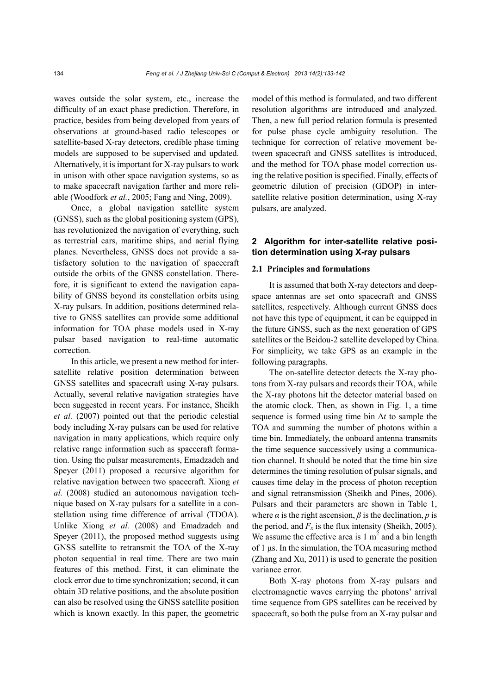waves outside the solar system, etc., increase the difficulty of an exact phase prediction. Therefore, in practice, besides from being developed from years of observations at ground-based radio telescopes or satellite-based X-ray detectors, credible phase timing models are supposed to be supervised and updated. Alternatively, it is important for X-ray pulsars to work in unison with other space navigation systems, so as to make spacecraft navigation farther and more reliable (Woodfork *et al.*, 2005; Fang and Ning, 2009).

Once, a global navigation satellite system (GNSS), such as the global positioning system (GPS), has revolutionized the navigation of everything, such as terrestrial cars, maritime ships, and aerial flying planes. Nevertheless, GNSS does not provide a satisfactory solution to the navigation of spacecraft outside the orbits of the GNSS constellation. Therefore, it is significant to extend the navigation capability of GNSS beyond its constellation orbits using X-ray pulsars. In addition, positions determined relative to GNSS satellites can provide some additional information for TOA phase models used in X-ray pulsar based navigation to real-time automatic correction.

In this article, we present a new method for intersatellite relative position determination between GNSS satellites and spacecraft using X-ray pulsars. Actually, several relative navigation strategies have been suggested in recent years. For instance, Sheikh *et al.* (2007) pointed out that the periodic celestial body including X-ray pulsars can be used for relative navigation in many applications, which require only relative range information such as spacecraft formation. Using the pulsar measurements, Emadzadeh and Speyer (2011) proposed a recursive algorithm for relative navigation between two spacecraft. Xiong *et al.* (2008) studied an autonomous navigation technique based on X-ray pulsars for a satellite in a constellation using time difference of arrival (TDOA). Unlike Xiong *et al.* (2008) and Emadzadeh and Speyer (2011), the proposed method suggests using GNSS satellite to retransmit the TOA of the X-ray photon sequential in real time. There are two main features of this method. First, it can eliminate the clock error due to time synchronization; second, it can obtain 3D relative positions, and the absolute position can also be resolved using the GNSS satellite position which is known exactly. In this paper, the geometric model of this method is formulated, and two different resolution algorithms are introduced and analyzed. Then, a new full period relation formula is presented for pulse phase cycle ambiguity resolution. The technique for correction of relative movement between spacecraft and GNSS satellites is introduced, and the method for TOA phase model correction using the relative position is specified. Finally, effects of geometric dilution of precision (GDOP) in intersatellite relative position determination, using X-ray pulsars, are analyzed.

## **2 Algorithm for inter-satellite relative position determination using X-ray pulsars**

## **2.1 Principles and formulations**

It is assumed that both X-ray detectors and deepspace antennas are set onto spacecraft and GNSS satellites, respectively. Although current GNSS does not have this type of equipment, it can be equipped in the future GNSS, such as the next generation of GPS satellites or the Beidou-2 satellite developed by China. For simplicity, we take GPS as an example in the following paragraphs.

The on-satellite detector detects the X-ray photons from X-ray pulsars and records their TOA, while the X-ray photons hit the detector material based on the atomic clock. Then, as shown in Fig. 1, a time sequence is formed using time bin Δ*t* to sample the TOA and summing the number of photons within a time bin. Immediately, the onboard antenna transmits the time sequence successively using a communication channel. It should be noted that the time bin size determines the timing resolution of pulsar signals, and causes time delay in the process of photon reception and signal retransmission (Sheikh and Pines, 2006). Pulsars and their parameters are shown in Table 1, where  $\alpha$  is the right ascension,  $\beta$  is the declination,  $p$  is the period, and  $F_x$  is the flux intensity (Sheikh, 2005). We assume the effective area is  $1 \text{ m}^2$  and a bin length of 1 μs. In the simulation, the TOA measuring method (Zhang and Xu, 2011) is used to generate the position variance error.

Both X-ray photons from X-ray pulsars and electromagnetic waves carrying the photons' arrival time sequence from GPS satellites can be received by spacecraft, so both the pulse from an X-ray pulsar and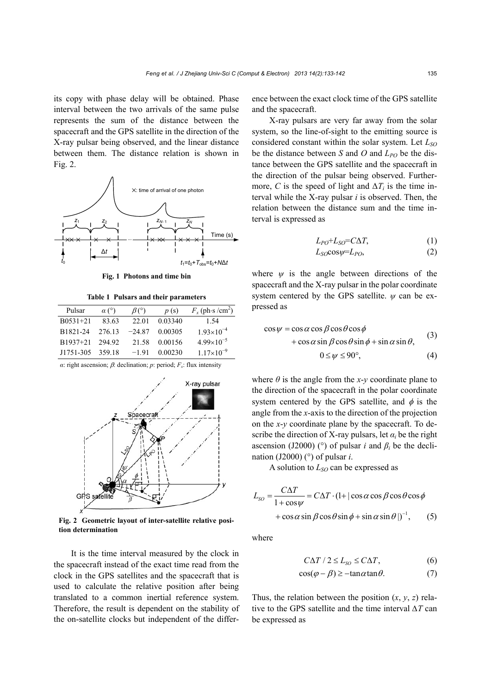its copy with phase delay will be obtained. Phase interval between the two arrivals of the same pulse represents the sum of the distance between the spacecraft and the GPS satellite in the direction of the X-ray pulsar being observed, and the linear distance between them. The distance relation is shown in Fig. 2.



**Fig. 1 Photons and time bin**

**Table 1 Pulsars and their parameters** 

| Pulsar     | $\alpha$ (°) | $\beta$ (°) | p(s)    | $F_x$ (ph·s /cm <sup>2</sup> ) |
|------------|--------------|-------------|---------|--------------------------------|
| $B0531+21$ | 83.63        | 22.01       | 0.03340 | 1.54                           |
| B1821-24   | 276.13       | $-24.87$    | 0.00305 | $1.93\times10^{-4}$            |
| B1937+21   | 294.92       | 21.58       | 0.00156 | $4.99 \times 10^{-5}$          |
| J1751-305  | 359.18       | $-1.91$     | 0.00230 | $1.17\times10^{-9}$            |

*α*: right ascension; *β*: declination; *p*: period;  $F_x$ : flux intensity



**Fig. 2 Geometric layout of inter-satellite relative position determination** 

It is the time interval measured by the clock in the spacecraft instead of the exact time read from the clock in the GPS satellites and the spacecraft that is used to calculate the relative position after being translated to a common inertial reference system. Therefore, the result is dependent on the stability of the on-satellite clocks but independent of the difference between the exact clock time of the GPS satellite and the spacecraft.

X-ray pulsars are very far away from the solar system, so the line-of-sight to the emitting source is considered constant within the solar system. Let *LSO* be the distance between *S* and *O* and  $L_{PO}$  be the distance between the GPS satellite and the spacecraft in the direction of the pulsar being observed. Furthermore, *C* is the speed of light and  $\Delta T_i$  is the time interval while the X-ray pulsar *i* is observed. Then, the relation between the distance sum and the time interval is expressed as

$$
L_{PO} + L_{SO} = C\Delta T,\tag{1}
$$

$$
L_{SO} \cos \psi = L_{PO}, \tag{2}
$$

where  $\psi$  is the angle between directions of the spacecraft and the X-ray pulsar in the polar coordinate system centered by the GPS satellite. *ψ* can be expressed as

$$
\cos \psi = \cos \alpha \cos \beta \cos \theta \cos \phi \n+ \cos \alpha \sin \beta \cos \theta \sin \phi + \sin \alpha \sin \theta,
$$
\n(3)  
\n
$$
0 \le \psi \le 90^{\circ},
$$
\n(4)

where  $\theta$  is the angle from the *x*-*y* coordinate plane to the direction of the spacecraft in the polar coordinate system centered by the GPS satellite, and  $\phi$  is the angle from the *x*-axis to the direction of the projection on the *x*-*y* coordinate plane by the spacecraft. To describe the direction of X-ray pulsars, let  $\alpha_i$  be the right ascension (J2000) ( $\degree$ ) of pulsar *i* and  $\beta_i$  be the declination (J2000) ( $\degree$ ) of pulsar *i*.

A solution to  $L_{SO}$  can be expressed as

$$
L_{SO} = \frac{C\Delta T}{1 + \cos\psi} = C\Delta T \cdot (1 + |\cos\alpha\cos\beta\cos\theta\cos\phi
$$
  
+  $\cos\alpha\sin\beta\cos\theta\sin\phi + \sin\alpha\sin\theta|$ )<sup>-1</sup>, (5)

where

$$
C\Delta T / 2 \le L_{SO} \le C\Delta T, \tag{6}
$$

$$
\cos(\varphi - \beta) \ge -\tan\alpha \tan\theta. \tag{7}
$$

Thus, the relation between the position  $(x, y, z)$  relative to the GPS satellite and the time interval *∆T* can be expressed as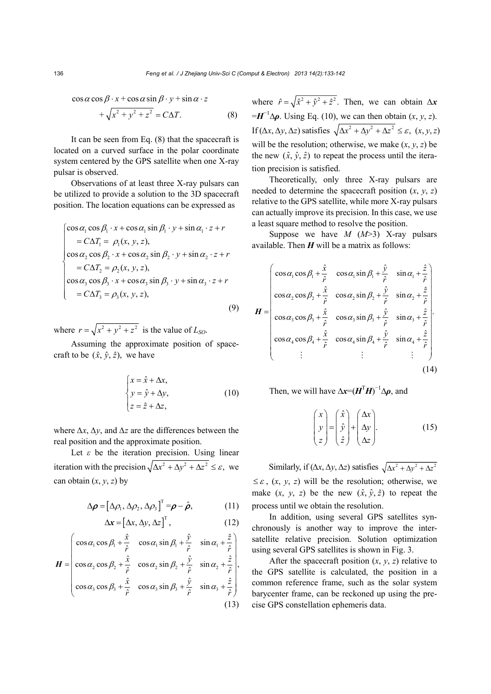$\cos \alpha \cos \beta \cdot x + \cos \alpha \sin \beta \cdot y + \sin \alpha \cdot z$ 

$$
+\sqrt{x^2 + y^2 + z^2} = C\Delta T.
$$
 (8)

It can be seen from Eq. (8) that the spacecraft is located on a curved surface in the polar coordinate system centered by the GPS satellite when one X-ray pulsar is observed.

Observations of at least three X-ray pulsars can be utilized to provide a solution to the 3D spacecraft position. The location equations can be expressed as

$$
\begin{cases}\n\cos \alpha_1 \cos \beta_1 \cdot x + \cos \alpha_1 \sin \beta_1 \cdot y + \sin \alpha_1 \cdot z + r \\
= C\Delta T_1 = \rho_1(x, y, z), \\
\cos \alpha_2 \cos \beta_2 \cdot x + \cos \alpha_2 \sin \beta_2 \cdot y + \sin \alpha_2 \cdot z + r \\
= C\Delta T_2 = \rho_2(x, y, z), \\
\cos \alpha_3 \cos \beta_3 \cdot x + \cos \alpha_3 \sin \beta_3 \cdot y + \sin \alpha_3 \cdot z + r \\
= C\Delta T_3 = \rho_3(x, y, z),\n\end{cases}
$$
\n(9)

where  $r = \sqrt{x^2 + y^2 + z^2}$  is the value of *L<sub>SO</sub>*.

Assuming the approximate position of spacecraft to be  $(\hat{x}, \hat{y}, \hat{z})$ , we have

$$
\begin{cases}\n x = \hat{x} + \Delta x, \\
 y = \hat{y} + \Delta y, \\
 z = \hat{z} + \Delta z,\n\end{cases}
$$
\n(10)

where *∆x*, *∆y*, and *∆z* are the differences between the real position and the approximate position.

Let *ε* be the iteration precision. Using linear iteration with the precision  $\sqrt{\Delta x^2 + \Delta y^2 + \Delta z^2} \leq \varepsilon$ , we can obtain  $(x, y, z)$  by

$$
\Delta \boldsymbol{\rho} = [\Delta \rho_1, \Delta \rho_2, \Delta \rho_3]^T = \boldsymbol{\rho} - \hat{\boldsymbol{\rho}}, \qquad (11)
$$

$$
\Delta x = [\Delta x, \Delta y, \Delta z]^{\mathrm{T}}, \qquad (12)
$$

$$
\boldsymbol{H} = \begin{pmatrix} \cos \alpha_1 \cos \beta_1 + \frac{\hat{x}}{\hat{r}} & \cos \alpha_1 \sin \beta_1 + \frac{\hat{y}}{\hat{r}} & \sin \alpha_1 + \frac{\hat{z}}{\hat{r}} \\ \cos \alpha_2 \cos \beta_2 + \frac{\hat{x}}{\hat{r}} & \cos \alpha_2 \sin \beta_2 + \frac{\hat{y}}{\hat{r}} & \sin \alpha_2 + \frac{\hat{z}}{\hat{r}} \\ \cos \alpha_3 \cos \beta_3 + \frac{\hat{x}}{\hat{r}} & \cos \alpha_3 \sin \beta_3 + \frac{\hat{y}}{\hat{r}} & \sin \alpha_3 + \frac{\hat{z}}{\hat{r}} \end{pmatrix},
$$
\n(13)

where  $\hat{r} = \sqrt{\hat{x}^2 + \hat{y}^2 + \hat{z}^2}$ . Then, we can obtain  $\Delta x$  $=$ *H*<sup>-1</sup> $\Delta$  $\rho$ . Using Eq. (10), we can then obtain (*x*, *y*, *z*). If (Δ*x*, Δ*y*, Δ*z*) satisfies  $\sqrt{\Delta x^2 + \Delta y^2 + \Delta z^2} \leq \varepsilon$ , (*x*, *y*, *z*) will be the resolution; otherwise, we make  $(x, y, z)$  be the new  $(\hat{x}, \hat{y}, \hat{z})$  to repeat the process until the iteration precision is satisfied.

Theoretically, only three X-ray pulsars are needed to determine the spacecraft position  $(x, y, z)$ relative to the GPS satellite, while more X-ray pulsars can actually improve its precision. In this case, we use a least square method to resolve the position.

Suppose we have *M* (*M*>3) X-ray pulsars available. Then  $H$  will be a matrix as follows:

$$
\mathbf{H} = \begin{pmatrix}\n\cos\alpha_1 \cos\beta_1 + \frac{\hat{x}}{\hat{r}} & \cos\alpha_1 \sin\beta_1 + \frac{\hat{y}}{\hat{r}} & \sin\alpha_1 + \frac{\hat{z}}{\hat{r}} \\
\cos\alpha_2 \cos\beta_2 + \frac{\hat{x}}{\hat{r}} & \cos\alpha_2 \sin\beta_2 + \frac{\hat{y}}{\hat{r}} & \sin\alpha_2 + \frac{\hat{z}}{\hat{r}} \\
\cos\alpha_3 \cos\beta_3 + \frac{\hat{x}}{\hat{r}} & \cos\alpha_3 \sin\beta_3 + \frac{\hat{y}}{\hat{r}} & \sin\alpha_3 + \frac{\hat{z}}{\hat{r}} \\
\cos\alpha_4 \cos\beta_4 + \frac{\hat{x}}{\hat{r}} & \cos\alpha_4 \sin\beta_4 + \frac{\hat{y}}{\hat{r}} & \sin\alpha_4 + \frac{\hat{z}}{\hat{r}} \\
\vdots & \vdots & \vdots\n\end{pmatrix}
$$
\n(14)

Then, we will have  $\Delta x = (H^{\mathrm{T}}H)^{-1}\Delta p$ , and

$$
\begin{pmatrix} x \\ y \\ z \end{pmatrix} = \begin{pmatrix} \hat{x} \\ \hat{y} \\ \hat{z} \end{pmatrix} + \begin{pmatrix} \Delta x \\ \Delta y \\ \Delta z \end{pmatrix}.
$$
 (15)

Similarly, if  $(\Delta x, \Delta y, \Delta z)$  satisfies  $\sqrt{\Delta x^2 + \Delta y^2 + \Delta z^2}$  $\leq \varepsilon$ ,  $(x, y, z)$  will be the resolution; otherwise, we make  $(x, y, z)$  be the new  $(\hat{x}, \hat{y}, \hat{z})$  to repeat the process until we obtain the resolution.

In addition, using several GPS satellites synchronously is another way to improve the intersatellite relative precision. Solution optimization using several GPS satellites is shown in Fig. 3.

After the spacecraft position  $(x, y, z)$  relative to the GPS satellite is calculated, the position in a common reference frame, such as the solar system barycenter frame, can be reckoned up using the precise GPS constellation ephemeris data.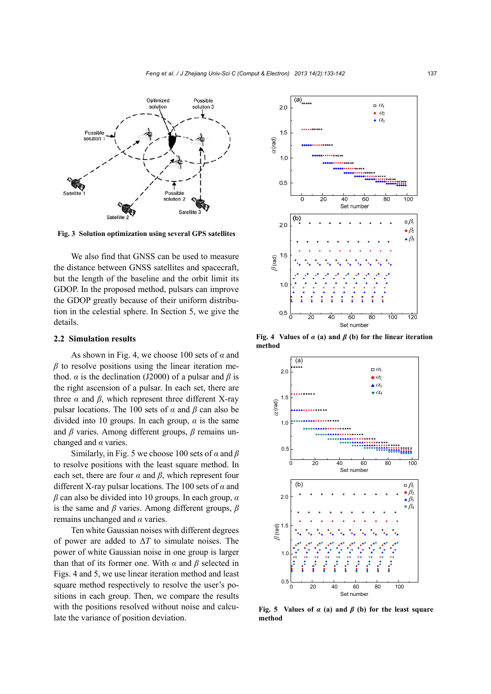

**Fig. 3 Solution optimization using several GPS satellites**

We also find that GNSS can be used to measure the distance between GNSS satellites and spacecraft, but the length of the baseline and the orbit limit its GDOP. In the proposed method, pulsars can improve the GDOP greatly because of their uniform distribution in the celestial sphere. In Section 5, we give the details.

#### **2.2 Simulation results**

As shown in Fig. 4, we choose 100 sets of *α* and *β* to resolve positions using the linear iteration method. *α* is the declination (J2000) of a pulsar and *β* is the right ascension of a pulsar. In each set, there are three  $\alpha$  and  $\beta$ , which represent three different X-ray pulsar locations. The 100 sets of  $\alpha$  and  $\beta$  can also be divided into 10 groups. In each group, *α* is the same and *β* varies. Among different groups, *β* remains unchanged and *α* varies.

Similarly, in Fig. 5 we choose 100 sets of *α* and *β* to resolve positions with the least square method. In each set, there are four  $\alpha$  and  $\beta$ , which represent four different X-ray pulsar locations. The 100 sets of *α* and *β* can also be divided into 10 groups. In each group, *α* is the same and *β* varies. Among different groups, *β* remains unchanged and *α* varies.

Ten white Gaussian noises with different degrees of power are added to Δ*T* to simulate noises. The power of white Gaussian noise in one group is larger than that of its former one. With  $\alpha$  and  $\beta$  selected in Figs. 4 and 5, we use linear iteration method and least square method respectively to resolve the user's positions in each group. Then, we compare the results with the positions resolved without noise and calculate the variance of position deviation.



**Fig. 4 Values of** *α* **(a) and** *β* **(b) for the linear iteration method**



**Fig. 5** Values of  $\alpha$  (a) and  $\beta$  (b) for the least square **method**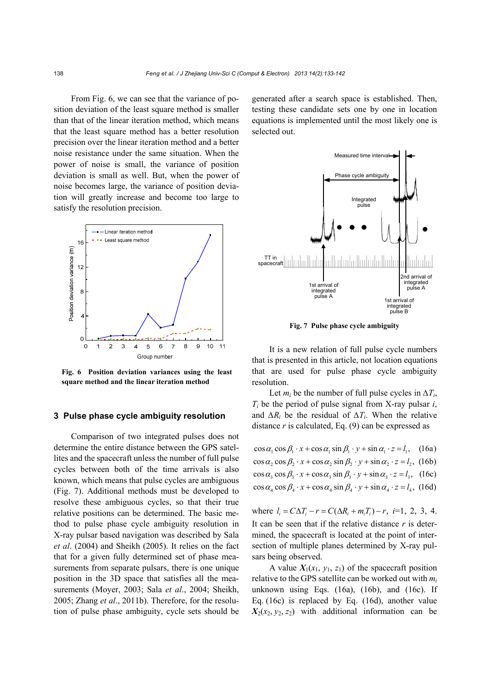From Fig. 6, we can see that the variance of position deviation of the least square method is smaller than that of the linear iteration method, which means that the least square method has a better resolution precision over the linear iteration method and a better noise resistance under the same situation. When the power of noise is small, the variance of position deviation is small as well. But, when the power of noise becomes large, the variance of position deviation will greatly increase and become too large to satisfy the resolution precision.



**Fig. 6 Position deviation variances using the least square method and the linear iteration method** 

### **3 Pulse phase cycle ambiguity resolution**

Comparison of two integrated pulses does not determine the entire distance between the GPS satellites and the spacecraft unless the number of full pulse cycles between both of the time arrivals is also known, which means that pulse cycles are ambiguous (Fig. 7). Additional methods must be developed to resolve these ambiguous cycles, so that their true relative positions can be determined. The basic method to pulse phase cycle ambiguity resolution in X-ray pulsar based navigation was described by Sala *et al*. (2004) and Sheikh (2005). It relies on the fact that for a given fully determined set of phase measurements from separate pulsars, there is one unique position in the 3D space that satisfies all the measurements (Moyer, 2003; Sala *et al*., 2004; Sheikh, 2005; Zhang *et al*., 2011b). Therefore, for the resolution of pulse phase ambiguity, cycle sets should be

generated after a search space is established. Then, testing these candidate sets one by one in location equations is implemented until the most likely one is selected out.



**Fig. 7 Pulse phase cycle ambiguity** 

It is a new relation of full pulse cycle numbers that is presented in this article, not location equations that are used for pulse phase cycle ambiguity resolution.

Let  $m_i$  be the number of full pulse cycles in  $\Delta T_i$ , *Ti* be the period of pulse signal from X-ray pulsar *i*, and  $\Delta R_i$  be the residual of  $\Delta T_i$ . When the relative distance  $r$  is calculated, Eq.  $(9)$  can be expressed as

| $\cos \alpha_1 \cos \beta_1 \cdot x + \cos \alpha_1 \sin \beta_1 \cdot y + \sin \alpha_1 \cdot z = l_1$ , (16a) |  |
|-----------------------------------------------------------------------------------------------------------------|--|
| $\cos \alpha_2 \cos \beta_2 \cdot x + \cos \alpha_2 \sin \beta_2 \cdot y + \sin \alpha_2 \cdot z = l_2$ , (16b) |  |
| $\cos \alpha$ , $\cos \beta$ , $x + \cos \alpha$ , $\sin \beta$ , $y + \sin \alpha$ , $z = l$ , (16c)           |  |
| $\cos \alpha_4 \cos \beta_4 \cdot x + \cos \alpha_4 \sin \beta_4 \cdot y + \sin \alpha_4 \cdot z = l_4$ , (16d) |  |

where  $l_i = C\Delta T_i - r = C(\Delta R_i + m_i T_i) - r$ , *i*=1, 2, 3, 4. It can be seen that if the relative distance *r* is determined, the spacecraft is located at the point of intersection of multiple planes determined by X-ray pulsars being observed.

A value  $X_1(x_1, y_1, z_1)$  of the spacecraft position relative to the GPS satellite can be worked out with *mi* unknown using Eqs.  $(16a)$ ,  $(16b)$ , and  $(16c)$ . If Eq. (16c) is replaced by Eq. (16d), another value  $X_2(x_2, y_2, z_2)$  with additional information can be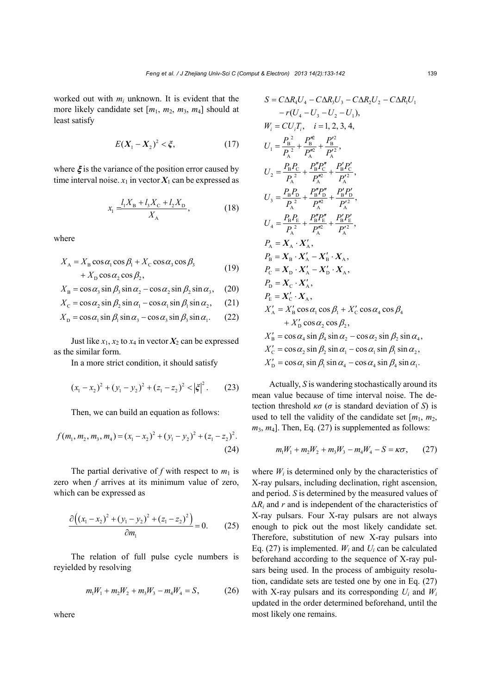worked out with  $m_i$  unknown. It is evident that the more likely candidate set [*m*1, *m*2, *m*3, *m*4] should at least satisfy

$$
E(X_1 - X_2)^2 < \xi,\tag{17}
$$

where  $\xi$  is the variance of the position error caused by time interval noise.  $x_1$  in vector  $X_1$  can be expressed as

$$
x_1 = \frac{l_1 X_B + l_3 X_C + l_2 X_D}{X_A},
$$
\n(18)

where

$$
X_{A} = X_{B} \cos \alpha_{1} \cos \beta_{1} + X_{C} \cos \alpha_{3} \cos \beta_{3}
$$
  
+  $X_{D} \cos \alpha_{2} \cos \beta_{2}$ , (19)

$$
X_{\rm B} = \cos \alpha_3 \sin \beta_3 \sin \alpha_2 - \cos \alpha_2 \sin \beta_2 \sin \alpha_3, \quad (20)
$$

$$
X_{\rm C} = \cos \alpha_2 \sin \beta_2 \sin \alpha_1 - \cos \alpha_1 \sin \beta_1 \sin \alpha_2, \qquad (21)
$$

$$
X_{\rm D} = \cos \alpha_1 \sin \beta_1 \sin \alpha_3 - \cos \alpha_3 \sin \beta_3 \sin \alpha_1. \qquad (22)
$$

Just like  $x_1, x_2$  to  $x_4$  in vector  $X_2$  can be expressed as the similar form.

In a more strict condition, it should satisfy

$$
(x_1 - x_2)^2 + (y_1 - y_2)^2 + (z_1 - z_2)^2 < |\xi|^2. \tag{23}
$$

Then, we can build an equation as follows:

$$
f(m_1, m_2, m_3, m_4) = (x_1 - x_2)^2 + (y_1 - y_2)^2 + (z_1 - z_2)^2.
$$
\n(24)

The partial derivative of  $f$  with respect to  $m_1$  is zero when *f* arrives at its minimum value of zero, which can be expressed as

$$
\frac{\partial ((x_1 - x_2)^2 + (y_1 - y_2)^2 + (z_1 - z_2)^2)}{\partial m_1} = 0.
$$
 (25)

The relation of full pulse cycle numbers is reyielded by resolving

$$
m_1W_1 + m_2W_2 + m_3W_3 - m_4W_4 = S, \qquad (26)
$$

where

$$
S = C\Delta R_4 U_4 - C\Delta R_3 U_3 - C\Delta R_2 U_2 - C\Delta R_1 U_1 -r(U_4 - U_3 - U_2 - U_1),W_i = CU_1 T_i, i = 1, 2, 3, 4,U_1 = \frac{P_B^2}{P_A^2} + \frac{P_B^{\prime\prime\prime}}{P_A^{\prime\prime}} + \frac{P_B^{\prime\prime\prime}}{P_A^{\prime\prime}}U_2 = \frac{P_B P_C}{P_A^2} + \frac{P_B^{\prime\prime} P_C^{\prime\prime}}{P_A^{\prime\prime}} + \frac{P_B^{\prime} P_C^{\prime\prime}}{P_A^{\prime\prime}}U_3 = \frac{P_B P_D}{P_A^2} + \frac{P_B^{\prime\prime} P_D^{\prime\prime}}{P_A^{\prime\prime}} + \frac{P_B^{\prime} P_D^{\prime\prime}}{P_A^{\prime\prime}}U_4 = \frac{P_B P_E}{P_A^2} + \frac{P_B^{\prime\prime} P_D^{\prime\prime}}{P_A^{\prime\prime}} + \frac{P_B^{\prime} P_E^{\prime\prime}}{P_A^{\prime\prime}}P_A = X_A \cdot X'_A,P_B = X_B \cdot X'_A - X'_B \cdot X_A,P_C = X_D \cdot X'_A - X'_D \cdot X_A,P_E = X'_C \cdot X_A,P_E = X'_C \cdot X_A,P_E = X'_C \cdot X_A,X'_A = X'_B \cos \alpha_1 \cos \beta_1 + X'_C \cos \alpha_4 \cos \beta_4+ X'_D \cos \alpha_2 \cos \beta_2,X'_B = \cos \alpha_4 \sin \beta_4 \sin \alpha_2 - \cos \alpha_2 \sin \beta_2 \sin \alpha_4,X'_C = \cos \alpha_2 \sin \beta_2 \sin \alpha_1 - \cos \alpha_1 \sin \beta_1 \sin \alpha_2,X'_D = \cos \alpha_1 \sin \beta_1 \sin \alpha_4 - \cos \alpha_4 \sin \beta_4 \sin \alpha_1.
$$

Actually, *S* is wandering stochastically around its mean value because of time interval noise. The detection threshold  $κ\sigma$  ( $σ$  is standard deviation of *S*) is used to tell the validity of the candidate set  $[m_1, m_2,$  $m_3$ ,  $m_4$ ]. Then, Eq. (27) is supplemented as follows:

$$
m_1W_1 + m_2W_2 + m_3W_3 - m_4W_4 - S = \kappa\sigma, \qquad (27)
$$

where  $W_i$  is determined only by the characteristics of X-ray pulsars, including declination, right ascension, and period. *S* is determined by the measured values of *∆Ri* and *r* and is independent of the characteristics of X-ray pulsars. Four X-ray pulsars are not always enough to pick out the most likely candidate set. Therefore, substitution of new X-ray pulsars into Eq.  $(27)$  is implemented.  $W_i$  and  $U_i$  can be calculated beforehand according to the sequence of X-ray pulsars being used. In the process of ambiguity resolution, candidate sets are tested one by one in Eq. (27) with X-ray pulsars and its corresponding  $U_i$  and  $W_i$ updated in the order determined beforehand, until the most likely one remains.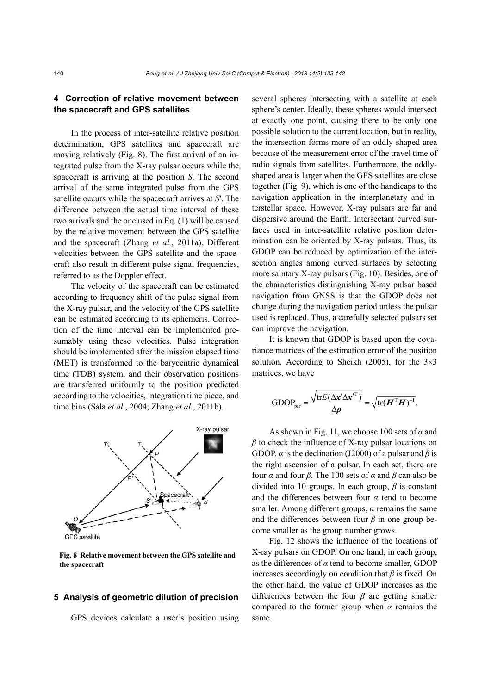## **4 Correction of relative movement between the spacecraft and GPS satellites**

In the process of inter-satellite relative position determination, GPS satellites and spacecraft are moving relatively (Fig. 8). The first arrival of an integrated pulse from the X-ray pulsar occurs while the spacecraft is arriving at the position *S*. The second arrival of the same integrated pulse from the GPS satellite occurs while the spacecraft arrives at *S*′. The difference between the actual time interval of these two arrivals and the one used in Eq. (1) will be caused by the relative movement between the GPS satellite and the spacecraft (Zhang *et al.*, 2011a). Different velocities between the GPS satellite and the spacecraft also result in different pulse signal frequencies, referred to as the Doppler effect.

The velocity of the spacecraft can be estimated according to frequency shift of the pulse signal from the X-ray pulsar, and the velocity of the GPS satellite can be estimated according to its ephemeris. Correction of the time interval can be implemented presumably using these velocities. Pulse integration should be implemented after the mission elapsed time (MET) is transformed to the barycentric dynamical time (TDB) system, and their observation positions are transferred uniformly to the position predicted according to the velocities, integration time piece, and time bins (Sala *et al.*, 2004; Zhang *et al.*, 2011b).



**Fig. 8 Relative movement between the GPS satellite and the spacecraft**

#### **5 Analysis of geometric dilution of precision**

GPS devices calculate a user's position using

several spheres intersecting with a satellite at each sphere's center. Ideally, these spheres would intersect at exactly one point, causing there to be only one possible solution to the current location, but in reality, the intersection forms more of an oddly-shaped area because of the measurement error of the travel time of radio signals from satellites. Furthermore, the oddlyshaped area is larger when the GPS satellites are close together (Fig. 9), which is one of the handicaps to the navigation application in the interplanetary and interstellar space. However, X-ray pulsars are far and dispersive around the Earth. Intersectant curved surfaces used in inter-satellite relative position determination can be oriented by X-ray pulsars. Thus, its GDOP can be reduced by optimization of the intersection angles among curved surfaces by selecting more salutary X-ray pulsars (Fig. 10). Besides, one of the characteristics distinguishing X-ray pulsar based navigation from GNSS is that the GDOP does not change during the navigation period unless the pulsar used is replaced. Thus, a carefully selected pulsars set can improve the navigation.

It is known that GDOP is based upon the covariance matrices of the estimation error of the position solution. According to Sheikh (2005), for the  $3\times3$ matrices, we have

GDOP<sub>psr</sub> = 
$$
\frac{\sqrt{\text{tr}E(\Delta \mathbf{x}' \Delta \mathbf{x'}^{T})}}{\Delta \rho} = \sqrt{\text{tr}(\mathbf{H}^{T} \mathbf{H})^{-1}}.
$$

As shown in Fig. 11, we choose 100 sets of *α* and *β* to check the influence of X-ray pulsar locations on GDOP. *α* is the declination (J2000) of a pulsar and *β* is the right ascension of a pulsar. In each set, there are four *α* and four *β*. The 100 sets of *α* and *β* can also be divided into 10 groups. In each group, *β* is constant and the differences between four *α* tend to become smaller. Among different groups, *α* remains the same and the differences between four *β* in one group become smaller as the group number grows.

Fig. 12 shows the influence of the locations of X-ray pulsars on GDOP. On one hand, in each group, as the differences of *α* tend to become smaller, GDOP increases accordingly on condition that *β* is fixed. On the other hand, the value of GDOP increases as the differences between the four *β* are getting smaller compared to the former group when *α* remains the same.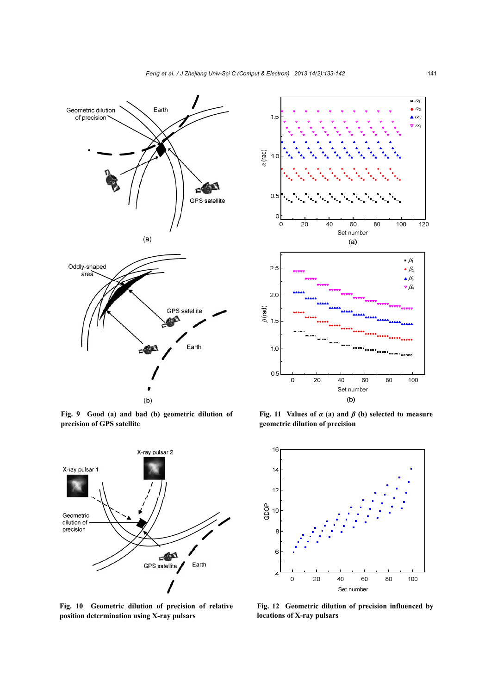

**Fig. 9 Good (a) and bad (b) geometric dilution of precision of GPS satellite**



**Fig. 10 Geometric dilution of precision of relative position determination using X-ray pulsars** 



**Fig. 11 Values of** *α* **(a) and** *β* **(b) selected to measure geometric dilution of precision** 



**Fig. 12 Geometric dilution of precision influenced by locations of X-ray pulsars**